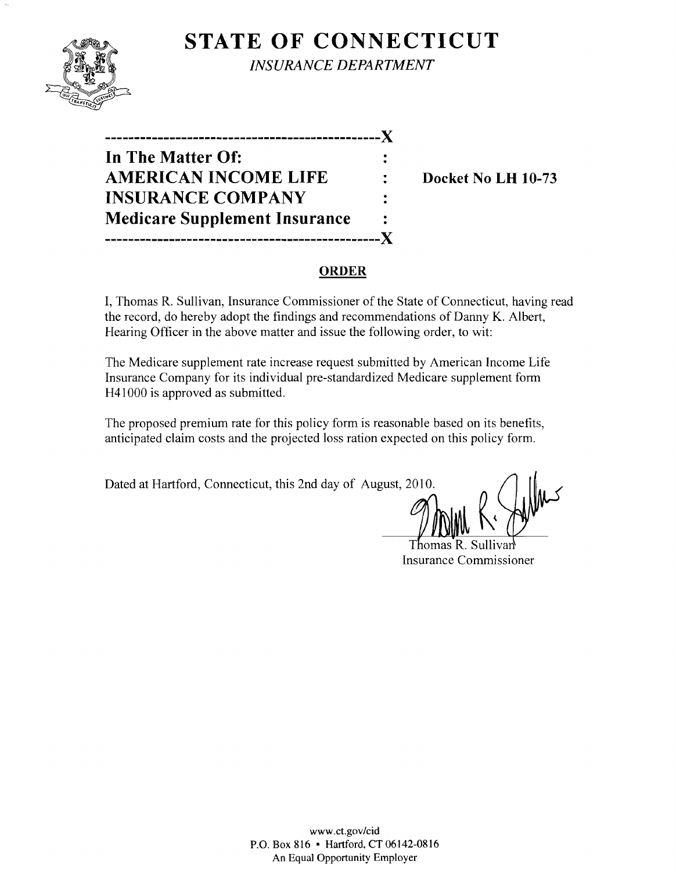

**STATE OF CONNECTICUT** *INSURANCE DEPARTMENT* 

**-----------------------------------------------)( In The Matter Of: AMERICAN INCOME LIFE : Docket No LH 10-73 INSURANCE COMPANY Medicare Supplement Insurance -----------------------------------------------)(** 

### **ORDER**

I, Thomas R. Sullivan, Insurance Commissioner of the State of Connecticut, having read the record, do hereby adopt the findings and recommendations of Danny K. Albert, Hearing Officer in the above matter and issue the following order, to wit:

The Medicare supplement rate increase request submitted by American Income Life Insurance Company for its individual pre-standardized Medicare supplement form H41000 is approved as submitted.

The proposed premium rate for this policy form is reasonable based on its benefits, anticipated claim costs and the projected loss ration expected on this policy form.

Dated at Hartford, Connecticut, this 2nd day of August, 2010.

Thomas R. Sullivan Insurance Commissioner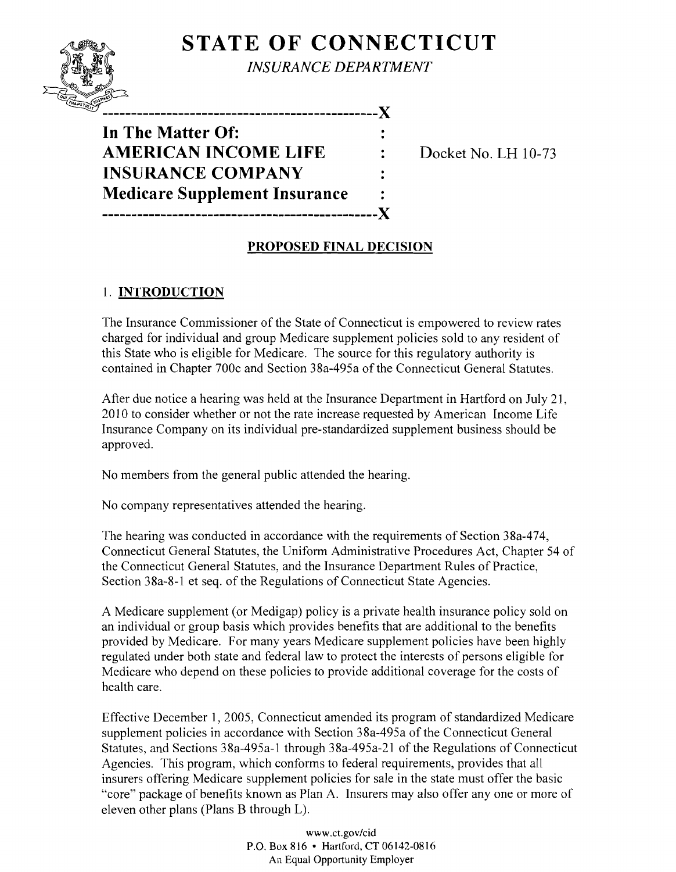# **STATE OF CONNECTICUT**



*INSURANCE DEPARTMENT* 

**-----------------------------------------------)(** 

**In The Matter Of: AMERICAN INCOME LIFE :** Docket No. LH 10-73 **INSURANCE COMPANY Medicare Supplement Insurance -----------------------------------------------)(** 

## **PROPOSED FINAL DECISION**

### 1. **INTRODUCTION**

The Insurance Commissioner of the State of Connecticut is empowered to review rates charged for individual and group Medicare supplement policies sold to any resident of this State who is eligible for Medicare. The source for this regulatory authority is contained in Chapter 700c and Section 38a-495a of the Connecticut General Statutes.

After due notice a hearing was held at the Insurance Department in Hartford on July 21, 2010 to consider whether or not the rate increase requested by American Income Life Insurance Company on its individual pre-standardized supplement business should be approved.

No members from the general public attended the hearing.

No company representatives attended the hearing.

The hearing was conducted in accordance with the requirements of Section 38a-474, Connecticut General Statutes, the Uniform Administrative Procedures Act, Chapter 54 of the Connecticut General Statutes, and the Insurance Department Rules of Practice, Section 38a-8-1 et seq. of the Regulations of Connecticut State Agencies.

A Medicare supplement (or Medigap) policy is a private health insurance policy sold on an individual or group basis which provides benefits that are additional to the benefits provided by Medicare. For many years Medicare supplement policies have been highly regulated under both state and federal law to protect the interests of persons eligible for Medicare who depend on these policies to provide additional coverage for the costs of health care.

Effective December 1, 2005, Connecticut amended its program of standardized Medicare supplement policies in accordance with Section 38a-495a of the Connecticut General Statutes, and Sections 38a-495a-1 through 38a-495a-21 of the Regulations of Connecticut Agencies. This program, which conforms to federal requirements, provides that all insurers offering Medicare supplement policies for sale in the state must offer the basic "core" package of benefits known as Plan A. Insurers may also offer anyone or more of eleven other plans (Plans B through L).

> www.ct.gov/cid P.O. Box 816 • Hartford, CT 06142-0816 An Equal Opportunity Employer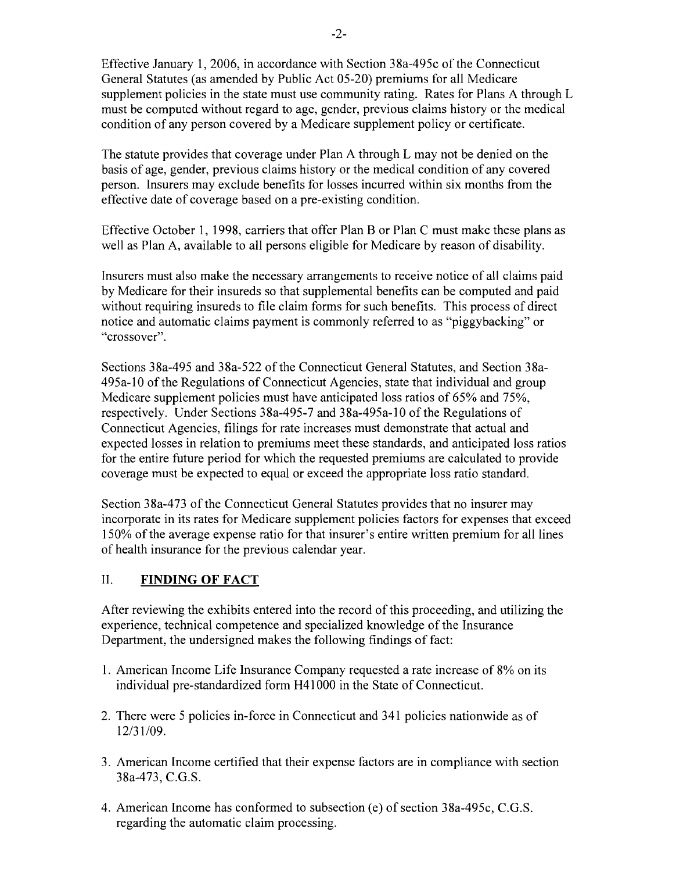Effective January 1,2006, in accordance with Section 38a-495c of the Connecticut General Statutes (as amended by Public Act 05-20) premiums for all Medicare supplement policies in the state must use community rating. Rates for Plans A through L must be computed without regard to age, gender, previous claims history or the medical condition of any person covered by a Medicare supplement policy or certificate.

The statute provides that coverage under Plan A through L may not be denied on the basis of age, gender, previous claims history or the medical condition of any covered person. Insurers may exclude benefits for losses incurred within six months from the effective date of coverage based on a pre-existing condition.

Effective October 1, 1998, carriers that offer Plan B or Plan C must make these plans as well as Plan A, available to all persons eligible for Medicare by reason of disability.

Insurers must also make the necessary arrangements to receive notice of all claims paid by Medicare for their insureds so that supplemental benefits can be computed and paid without requiring insureds to file claim forms for such benefits. This process of direct notice and automatic claims payment is commonly referred to as "piggybacking" or "crossover".

Sections 38a-495 and 38a-522 of the Connecticut General Statutes, and Section 38a-495a-l0 of the Regulations of Connecticut Agencies, state that individual and group Medicare supplement policies must have anticipated loss ratios of 65% and 75%, respectively. Under Sections 38a-495-7 and 38a-495a-l0 of the Regulations of Connecticut Agencies, filings for rate increases must demonstrate that actual and expected losses in relation to premiums meet these standards, and anticipated loss ratios for the entire future period for which the requested premiums are calculated to provide coverage must be expected to equal or exceed the appropriate loss ratio standard.

Section 38a-473 of the Connecticut General Statutes provides that no insurer may incorporate in its rates for Medicare supplement policies factors for expenses that exceed 150% of the average expense ratio for that insurer's entire written premium for all lines of health insurance for the previous calendar year.

#### **II.** FINDING OF FACT

After reviewing the exhibits entered into the record of this proceeding, and utilizing the experience, technical competence and specialized knowledge of the Insurance Department, the undersigned makes the following findings of fact:

- 1. American Income Life Insurance Company requested a rate increase of 8% on its individual pre-standardized form H41 000 in the State of Connecticut.
- 2. There were 5 policies in-force in Connecticut and 341 policies nationwide as of 12/31/09.
- 3. American Income certified that their expense factors are in compliance with section 38a-473, C.G.S.
- 4. American Income has conformed to subsection (e) of section 38a-495c, C.G.S. regarding the automatic claim processing.